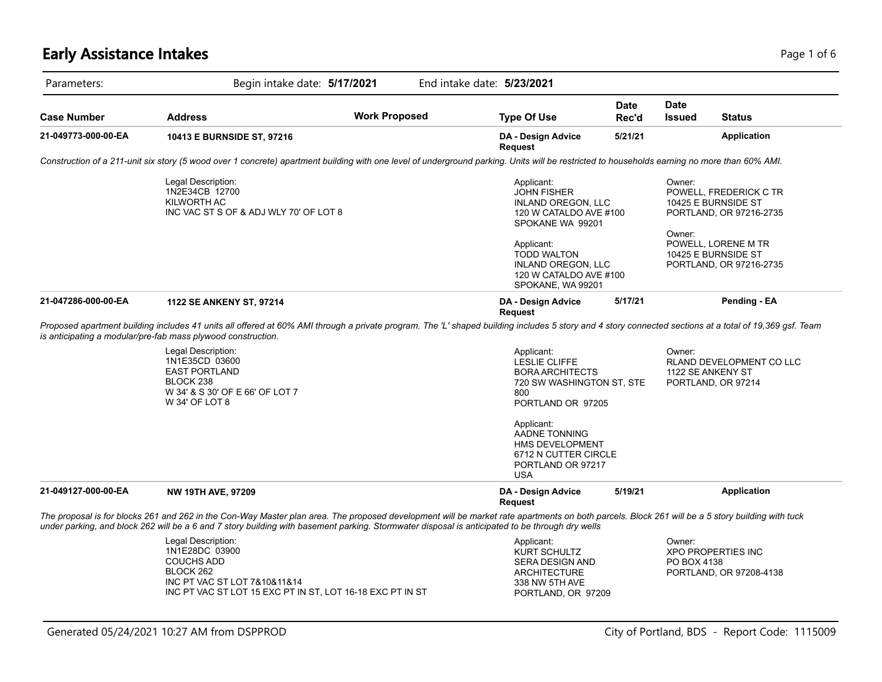#### **Early Assistance Intakes** Page 1 of 6 and 2012 12:00 Page 1 of 6 and 2012 12:00 Page 1 of 6

| Parameters:         | Begin intake date: 5/17/2021                                                                                                                                                                                                                                                                                                                       |                      | End intake date: 5/23/2021                                                                                            |                      |                              |                                                                          |
|---------------------|----------------------------------------------------------------------------------------------------------------------------------------------------------------------------------------------------------------------------------------------------------------------------------------------------------------------------------------------------|----------------------|-----------------------------------------------------------------------------------------------------------------------|----------------------|------------------------------|--------------------------------------------------------------------------|
| Case Number         | <b>Address</b>                                                                                                                                                                                                                                                                                                                                     | <b>Work Proposed</b> | <b>Type Of Use</b>                                                                                                    | <b>Date</b><br>Rec'd | <b>Date</b><br><b>Issued</b> | Status                                                                   |
| 21-049773-000-00-EA | 10413 E BURNSIDE ST, 97216                                                                                                                                                                                                                                                                                                                         |                      | DA - Design Advice<br><b>Request</b>                                                                                  | 5/21/21              |                              | <b>Application</b>                                                       |
|                     | Construction of a 211-unit six story (5 wood over 1 concrete) apartment building with one level of underground parking. Units will be restricted to households earning no more than 60% AMI.                                                                                                                                                       |                      |                                                                                                                       |                      |                              |                                                                          |
|                     | Legal Description:<br>1N2E34CB 12700<br>KILWORTH AC<br>INC VAC ST S OF & ADJ WLY 70' OF LOT 8                                                                                                                                                                                                                                                      |                      | Applicant:<br>JOHN FISHER<br>INLAND OREGON, LLC<br>120 W CATALDO AVE #100<br>SPOKANE WA 99201                         |                      | Owner:                       | POWELL, FREDERICK C TR<br>10425 E BURNSIDE ST<br>PORTLAND, OR 97216-2735 |
|                     |                                                                                                                                                                                                                                                                                                                                                    |                      | Applicant:<br><b>TODD WALTON</b><br>INLAND OREGON, LLC<br>120 W CATALDO AVE #100<br>SPOKANE, WA 99201                 |                      | Owner:                       | POWELL, LORENE M TR<br>10425 E BURNSIDE ST<br>PORTLAND, OR 97216-2735    |
| 21-047286-000-00-EA | 1122 SE ANKENY ST, 97214                                                                                                                                                                                                                                                                                                                           |                      | DA - Design Advice<br><b>Request</b>                                                                                  | 5/17/21              |                              | Pending - EA                                                             |
|                     | Proposed apartment building includes 41 units all offered at 60% AMI through a private program. The 'L' shaped building includes 5 story and 4 story connected sections at a total of 19,369 gsf. Team<br>is anticipating a modular/pre-fab mass plywood construction.                                                                             |                      |                                                                                                                       |                      |                              |                                                                          |
|                     | Legal Description:<br>1N1E35CD 03600<br><b>EAST PORTLAND</b><br>BLOCK 238<br>W 34' & S 30' OF E 66' OF LOT 7<br>W 34' OF LOT 8                                                                                                                                                                                                                     |                      | Applicant:<br><b>LESLIE CLIFFE</b><br><b>BORA ARCHITECTS</b><br>720 SW WASHINGTON ST, STE<br>800<br>PORTLAND OR 97205 |                      | Owner:                       | RLAND DEVELOPMENT CO LLC<br>1122 SE ANKENY ST<br>PORTLAND, OR 97214      |
|                     |                                                                                                                                                                                                                                                                                                                                                    |                      | Applicant:<br>AADNE TONNING<br><b>HMS DEVELOPMENT</b><br>6712 N CUTTER CIRCLE<br>PORTLAND OR 97217<br><b>USA</b>      |                      |                              |                                                                          |
| 21-049127-000-00-EA | <b>NW 19TH AVE, 97209</b>                                                                                                                                                                                                                                                                                                                          |                      | DA - Design Advice<br><b>Request</b>                                                                                  | 5/19/21              |                              | <b>Application</b>                                                       |
|                     | The proposal is for blocks 261 and 262 in the Con-Way Master plan area. The proposed development will be market rate apartments on both parcels. Block 261 will be a 5 story building with tuck<br>under parking, and block 262 will be a 6 and 7 story building with basement parking. Stormwater disposal is anticipated to be through dry wells |                      |                                                                                                                       |                      |                              |                                                                          |
|                     | Legal Description:<br>1N1E28DC 03900<br><b>COUCHS ADD</b><br>BLOCK 262<br>INC PT VAC ST LOT 7&10&11&14                                                                                                                                                                                                                                             |                      | Applicant:<br>KURT SCHULTZ<br>SERA DESIGN AND<br><b>ARCHITECTURE</b><br>338 NW 5TH AVE                                |                      | Owner:<br>PO BOX 4138        | <b>XPO PROPERTIES INC</b><br>PORTLAND, OR 97208-4138                     |

INC PT VAC ST LOT 15 EXC PT IN ST, LOT 16-18 EXC PT IN ST

PORTLAND, OR 97209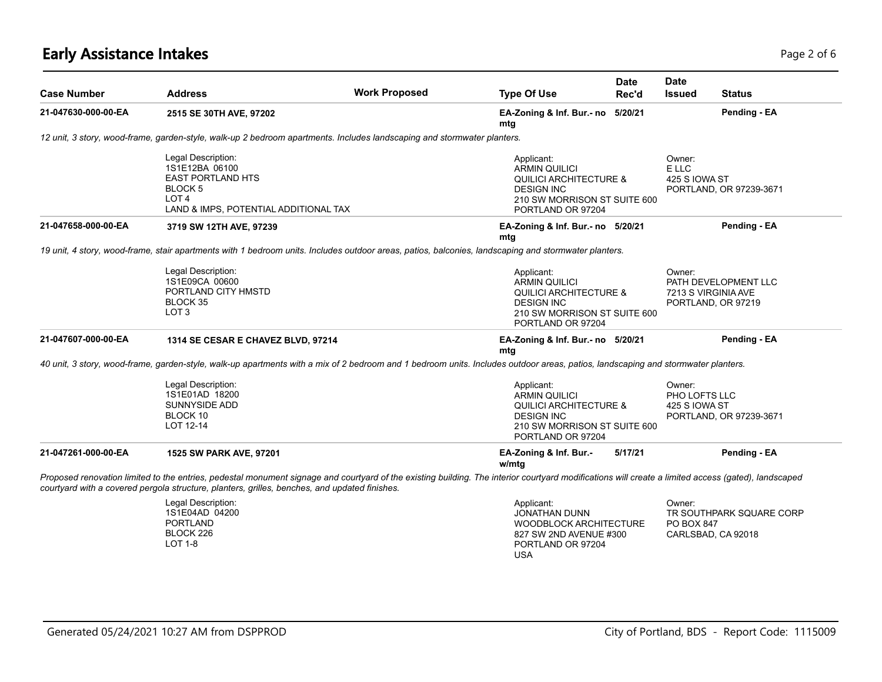# **Early Assistance Intakes** Page 2 of 6 and 2 of 6 and 2 of 6 and 2 of 6 and 2 of 6 and 2 of 6 and 2 of 6 and 2 of 6

| <b>Case Number</b>  | <b>Address</b>                                                                                                                                                                                                                                                                                       | <b>Work Proposed</b> | <b>Type Of Use</b>                                                                                                                                | <b>Date</b><br>Rec'd | <b>Date</b><br><b>Issued</b>               | <b>Status</b>                              |
|---------------------|------------------------------------------------------------------------------------------------------------------------------------------------------------------------------------------------------------------------------------------------------------------------------------------------------|----------------------|---------------------------------------------------------------------------------------------------------------------------------------------------|----------------------|--------------------------------------------|--------------------------------------------|
| 21-047630-000-00-EA | 2515 SE 30TH AVE, 97202                                                                                                                                                                                                                                                                              |                      | EA-Zoning & Inf. Bur.- no<br>mtg                                                                                                                  | 5/20/21              |                                            | Pending - EA                               |
|                     | 12 unit, 3 story, wood-frame, garden-style, walk-up 2 bedroom apartments. Includes landscaping and stormwater planters.                                                                                                                                                                              |                      |                                                                                                                                                   |                      |                                            |                                            |
|                     | Legal Description:<br>1S1E12BA 06100<br><b>EAST PORTLAND HTS</b><br>BLOCK 5<br>LOT <sub>4</sub><br>LAND & IMPS, POTENTIAL ADDITIONAL TAX                                                                                                                                                             |                      | Applicant:<br><b>ARMIN QUILICI</b><br><b>QUILICI ARCHITECTURE &amp;</b><br><b>DESIGN INC</b><br>210 SW MORRISON ST SUITE 600<br>PORTLAND OR 97204 |                      | Owner:<br>E LLC<br>425 S IOWA ST           | PORTLAND, OR 97239-3671                    |
| 21-047658-000-00-EA | 3719 SW 12TH AVE, 97239                                                                                                                                                                                                                                                                              |                      | EA-Zoning & Inf. Bur.- no 5/20/21<br>mtg                                                                                                          |                      |                                            | Pending - EA                               |
|                     | 19 unit, 4 story, wood-frame, stair apartments with 1 bedroom units. Includes outdoor areas, patios, balconies, landscaping and stormwater planters.                                                                                                                                                 |                      |                                                                                                                                                   |                      |                                            |                                            |
|                     | Legal Description:<br>1S1E09CA 00600<br>PORTLAND CITY HMSTD<br>BLOCK 35<br>LOT <sub>3</sub>                                                                                                                                                                                                          |                      | Applicant:<br>ARMIN QUILICI<br><b>QUILICI ARCHITECTURE &amp;</b><br><b>DESIGN INC</b><br>210 SW MORRISON ST SUITE 600<br>PORTLAND OR 97204        |                      | Owner:<br>7213 S VIRGINIA AVE              | PATH DEVELOPMENT LLC<br>PORTLAND, OR 97219 |
| 21-047607-000-00-EA | 1314 SE CESAR E CHAVEZ BLVD, 97214                                                                                                                                                                                                                                                                   |                      | EA-Zoning & Inf. Bur.- no 5/20/21<br>mtg                                                                                                          |                      |                                            | Pending - EA                               |
|                     | 40 unit, 3 story, wood-frame, garden-style, walk-up apartments with a mix of 2 bedroom and 1 bedroom units. Includes outdoor areas, patios, landscaping and stormwater planters.                                                                                                                     |                      |                                                                                                                                                   |                      |                                            |                                            |
|                     | Legal Description:<br>1S1E01AD 18200<br><b>SUNNYSIDE ADD</b><br>BLOCK 10<br>LOT 12-14                                                                                                                                                                                                                |                      | Applicant:<br>ARMIN QUILICI<br><b>QUILICI ARCHITECTURE &amp;</b><br><b>DESIGN INC</b><br>210 SW MORRISON ST SUITE 600<br>PORTLAND OR 97204        |                      | Owner:<br>PHO LOFTS LLC<br>425 S IOWA ST   | PORTLAND, OR 97239-3671                    |
| 21-047261-000-00-EA | 1525 SW PARK AVE, 97201                                                                                                                                                                                                                                                                              |                      | EA-Zoning & Inf. Bur.-<br>w/mtg                                                                                                                   | 5/17/21              |                                            | Pending - EA                               |
|                     | Proposed renovation limited to the entries, pedestal monument signage and courtyard of the existing building. The interior courtyard modifications will create a limited access (gated), landscaped<br>courtyard with a covered pergola structure, planters, grilles, benches, and updated finishes. |                      |                                                                                                                                                   |                      |                                            |                                            |
|                     | Legal Description:<br>1S1E04AD 04200<br><b>PORTLAND</b><br>BLOCK 226<br>LOT 1-8                                                                                                                                                                                                                      |                      | Applicant:<br>JONATHAN DUNN<br><b>WOODBLOCK ARCHITECTURE</b><br>827 SW 2ND AVENUE #300<br>PORTLAND OR 97204<br><b>USA</b>                         |                      | Owner:<br>PO BOX 847<br>CARLSBAD, CA 92018 | TR SOUTHPARK SQUARE CORP                   |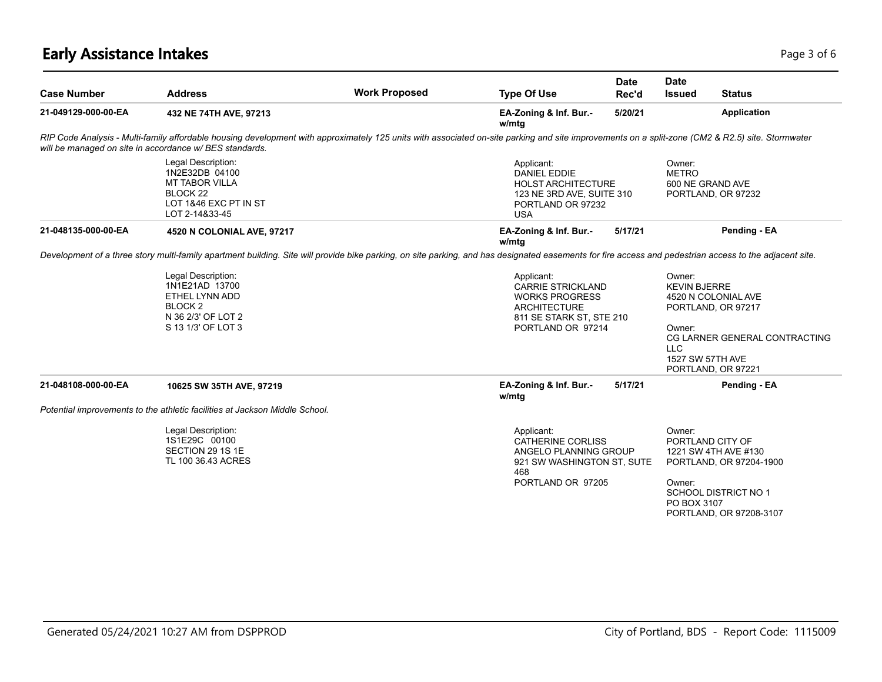# **Early Assistance Intakes** Page 1 of 6 and 2 and 2 and 2 and 2 and 2 and 2 and 2 and 2 and 2 and 2 and 2 and 2 and 2 and 2 and 2 and 2 and 2 and 2 and 2 and 2 and 2 and 2 and 2 and 2 and 2 and 2 and 2 and 2 and 2 and 2 and

|                     |                                                                                                                                                                                                                                                             |                      |                                                                                                                                         | <b>Date</b> | <b>Date</b>                                         |                                                                                                                                             |
|---------------------|-------------------------------------------------------------------------------------------------------------------------------------------------------------------------------------------------------------------------------------------------------------|----------------------|-----------------------------------------------------------------------------------------------------------------------------------------|-------------|-----------------------------------------------------|---------------------------------------------------------------------------------------------------------------------------------------------|
| <b>Case Number</b>  | <b>Address</b>                                                                                                                                                                                                                                              | <b>Work Proposed</b> | <b>Type Of Use</b>                                                                                                                      | Rec'd       | <b>Issued</b>                                       | <b>Status</b>                                                                                                                               |
| 21-049129-000-00-EA | 432 NE 74TH AVE, 97213                                                                                                                                                                                                                                      |                      | EA-Zoning & Inf. Bur.-<br>w/mtg                                                                                                         | 5/20/21     |                                                     | <b>Application</b>                                                                                                                          |
|                     | RIP Code Analysis - Multi-family affordable housing development with approximately 125 units with associated on-site parking and site improvements on a split-zone (CM2 & R2.5) site. Stormwater<br>will be managed on site in accordance w/ BES standards. |                      |                                                                                                                                         |             |                                                     |                                                                                                                                             |
|                     | Legal Description:<br>1N2E32DB 04100<br><b>MT TABOR VILLA</b><br>BLOCK <sub>22</sub><br>LOT 1&46 EXC PT IN ST<br>LOT 2-14&33-45                                                                                                                             |                      | Applicant:<br><b>DANIEL EDDIE</b><br><b>HOLST ARCHITECTURE</b><br>123 NE 3RD AVE, SUITE 310<br>PORTLAND OR 97232<br><b>USA</b>          |             | Owner:<br><b>METRO</b><br>600 NE GRAND AVE          | PORTLAND, OR 97232                                                                                                                          |
| 21-048135-000-00-EA | 4520 N COLONIAL AVE, 97217                                                                                                                                                                                                                                  |                      | EA-Zoning & Inf. Bur.-<br>w/mtg                                                                                                         | 5/17/21     |                                                     | Pending - EA                                                                                                                                |
|                     | Development of a three story multi-family apartment building. Site will provide bike parking, on site parking, and has designated easements for fire access and pedestrian access to the adjacent site.                                                     |                      |                                                                                                                                         |             |                                                     |                                                                                                                                             |
|                     | Legal Description:<br>1N1E21AD 13700<br>ETHEL LYNN ADD<br>BLOCK <sub>2</sub><br>N 36 2/3' OF LOT 2<br>S 13 1/3' OF LOT 3                                                                                                                                    |                      | Applicant:<br><b>CARRIE STRICKLAND</b><br><b>WORKS PROGRESS</b><br><b>ARCHITECTURE</b><br>811 SE STARK ST, STE 210<br>PORTLAND OR 97214 |             |                                                     | <b>KEVIN BJERRE</b><br>4520 N COLONIAL AVE<br>PORTLAND, OR 97217<br>CG LARNER GENERAL CONTRACTING<br>1527 SW 57TH AVE<br>PORTLAND, OR 97221 |
| 21-048108-000-00-EA | 10625 SW 35TH AVE, 97219                                                                                                                                                                                                                                    |                      | EA-Zoning & Inf. Bur.-<br>w/mtg                                                                                                         | 5/17/21     |                                                     | Pending - EA                                                                                                                                |
|                     | Potential improvements to the athletic facilities at Jackson Middle School.                                                                                                                                                                                 |                      |                                                                                                                                         |             |                                                     |                                                                                                                                             |
|                     | Legal Description:<br>1S1E29C 00100<br>SECTION 29 1S 1E<br>TL 100 36.43 ACRES                                                                                                                                                                               |                      | Applicant:<br><b>CATHERINE CORLISS</b><br>ANGELO PLANNING GROUP<br>921 SW WASHINGTON ST, SUTE<br>468<br>PORTLAND OR 97205               |             | Owner:<br>PORTLAND CITY OF<br>Owner:<br>PO BOX 3107 | 1221 SW 4TH AVE #130<br>PORTLAND, OR 97204-1900<br><b>SCHOOL DISTRICT NO 1</b><br>PORTLAND, OR 97208-3107                                   |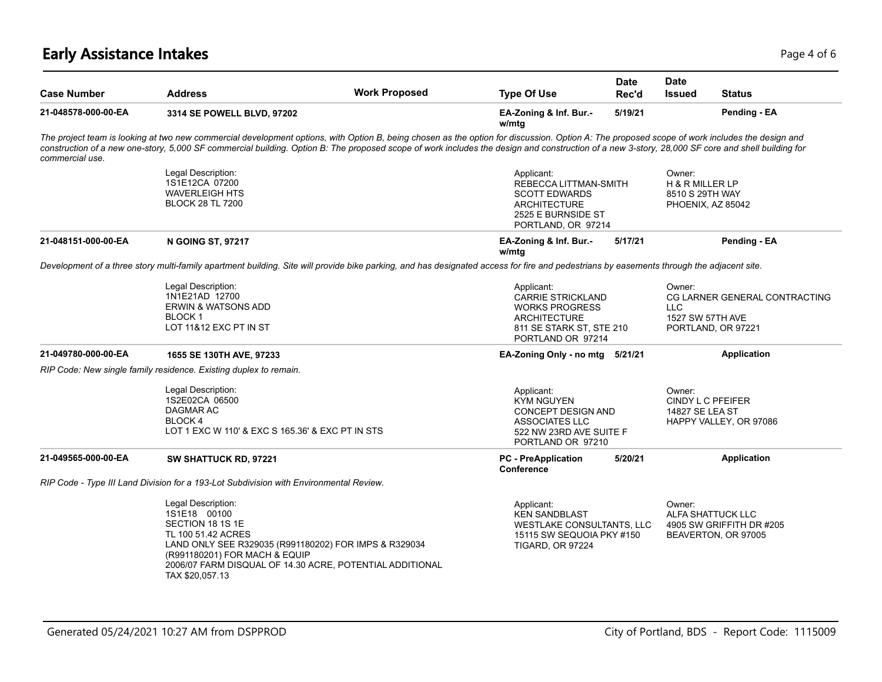# **Early Assistance Intakes** Page 4 of 6 and 2008 and 2008 and 2008 and 2008 and 2008 and 2008 and 2008 and 2008 and 2008 and 2008 and 2008 and 2008 and 2008 and 2008 and 2008 and 2008 and 2008 and 2008 and 2008 and 2008 and

| <b>Case Number</b>  | <b>Address</b>                                                                                                                                                                                                                                                                                                                                                                                    | <b>Work Proposed</b> | <b>Type Of Use</b>                                                                                                                      | <b>Date</b><br>Rec'd | <b>Date</b><br><b>Issued</b>                 | <b>Status</b>                                                        |
|---------------------|---------------------------------------------------------------------------------------------------------------------------------------------------------------------------------------------------------------------------------------------------------------------------------------------------------------------------------------------------------------------------------------------------|----------------------|-----------------------------------------------------------------------------------------------------------------------------------------|----------------------|----------------------------------------------|----------------------------------------------------------------------|
| 21-048578-000-00-EA | 3314 SE POWELL BLVD, 97202                                                                                                                                                                                                                                                                                                                                                                        |                      | EA-Zoning & Inf. Bur.-<br>w/mtg                                                                                                         | 5/19/21              |                                              | Pending - EA                                                         |
| commercial use.     | The project team is looking at two new commercial development options, with Option B, being chosen as the option for discussion. Option A: The proposed scope of work includes the design and<br>construction of a new one-story, 5,000 SF commercial building. Option B: The proposed scope of work includes the design and construction of a new 3-story, 28,000 SF core and shell building for |                      |                                                                                                                                         |                      |                                              |                                                                      |
|                     | Legal Description:<br>1S1E12CA 07200<br><b>WAVERLEIGH HTS</b><br><b>BLOCK 28 TL 7200</b>                                                                                                                                                                                                                                                                                                          |                      | Applicant:<br>REBECCA LITTMAN-SMITH<br><b>SCOTT EDWARDS</b><br><b>ARCHITECTURE</b><br>2525 E BURNSIDE ST<br>PORTLAND, OR 97214          |                      | Owner:<br>H & R MILLER LP<br>8510 S 29TH WAY | PHOENIX, AZ 85042                                                    |
| 21-048151-000-00-EA | <b>N GOING ST, 97217</b>                                                                                                                                                                                                                                                                                                                                                                          |                      | EA-Zoning & Inf. Bur.-<br>w/mtg                                                                                                         | 5/17/21              |                                              | Pending - EA                                                         |
|                     | Development of a three story multi-family apartment building. Site will provide bike parking, and has designated access for fire and pedestrians by easements through the adjacent site.                                                                                                                                                                                                          |                      |                                                                                                                                         |                      |                                              |                                                                      |
|                     | Legal Description:<br>1N1E21AD 12700<br><b>ERWIN &amp; WATSONS ADD</b><br><b>BLOCK1</b><br>LOT 11&12 EXC PT IN ST                                                                                                                                                                                                                                                                                 |                      | Applicant:<br><b>CARRIE STRICKLAND</b><br><b>WORKS PROGRESS</b><br><b>ARCHITECTURE</b><br>811 SE STARK ST, STE 210<br>PORTLAND OR 97214 |                      | Owner:<br>LLC.<br>1527 SW 57TH AVE           | CG LARNER GENERAL CONTRACTING<br>PORTLAND, OR 97221                  |
| 21-049780-000-00-EA | 1655 SE 130TH AVE, 97233                                                                                                                                                                                                                                                                                                                                                                          |                      | EA-Zoning Only - no mtg 5/21/21                                                                                                         |                      |                                              | <b>Application</b>                                                   |
|                     | RIP Code: New single family residence. Existing duplex to remain.                                                                                                                                                                                                                                                                                                                                 |                      |                                                                                                                                         |                      |                                              |                                                                      |
|                     | Legal Description:<br>1S2E02CA 06500<br>DAGMAR AC<br>BLOCK 4<br>LOT 1 EXC W 110' & EXC S 165.36' & EXC PT IN STS                                                                                                                                                                                                                                                                                  |                      | Applicant:<br><b>KYM NGUYEN</b><br><b>CONCEPT DESIGN AND</b><br><b>ASSOCIATES LLC</b><br>522 NW 23RD AVE SUITE F<br>PORTLAND OR 97210   |                      | Owner:<br><b>14827 SE LEA ST</b>             | CINDY L C PFEIFER<br>HAPPY VALLEY, OR 97086                          |
| 21-049565-000-00-EA | SW SHATTUCK RD, 97221                                                                                                                                                                                                                                                                                                                                                                             |                      | <b>PC</b> - PreApplication<br>Conference                                                                                                | 5/20/21              |                                              | <b>Application</b>                                                   |
|                     | RIP Code - Type III Land Division for a 193-Lot Subdivision with Environmental Review.                                                                                                                                                                                                                                                                                                            |                      |                                                                                                                                         |                      |                                              |                                                                      |
|                     | Legal Description:<br>1S1E18 00100<br>SECTION 18 1S 1E<br>TL 100 51.42 ACRES<br>LAND ONLY SEE R329035 (R991180202) FOR IMPS & R329034<br>(R991180201) FOR MACH & EQUIP<br>2006/07 FARM DISQUAL OF 14.30 ACRE, POTENTIAL ADDITIONAL<br>TAX \$20,057.13                                                                                                                                             |                      | Applicant:<br><b>KEN SANDBLAST</b><br>WESTLAKE CONSULTANTS, LLC<br>15115 SW SEQUOIA PKY #150<br><b>TIGARD, OR 97224</b>                 |                      | Owner:                                       | ALFA SHATTUCK LLC<br>4905 SW GRIFFITH DR #205<br>BEAVERTON, OR 97005 |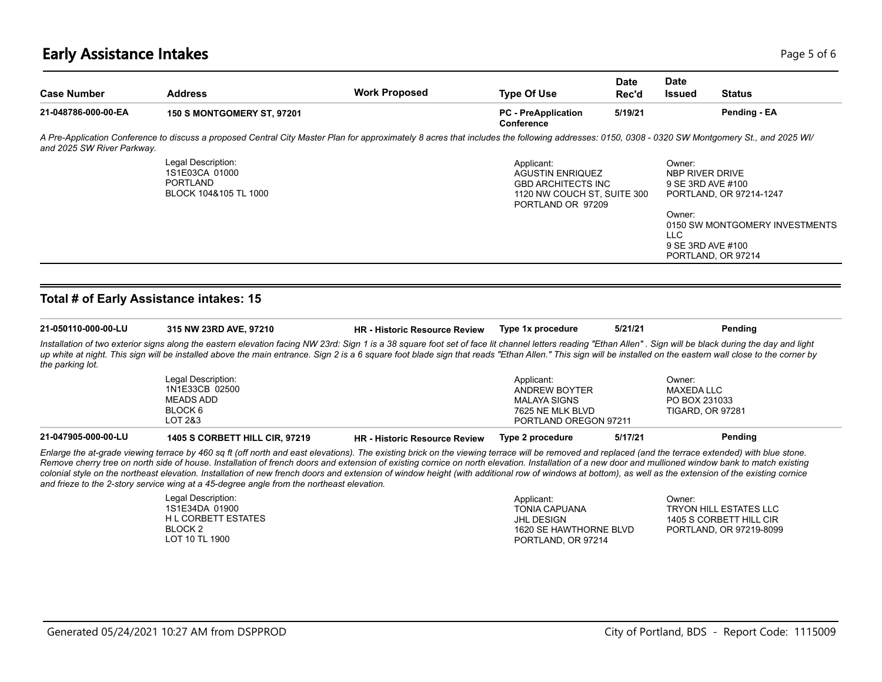# **Early Assistance Intakes** Page 1 of 6 and 2008 and 2008 and 2008 and 2008 and 2008 and 2008 and 2008 and 2008 and 2008 and 2008 and 2008 and 2008 and 2008 and 2008 and 2008 and 2008 and 2008 and 2008 and 2008 and 2008 and

| <b>Case Number</b>         | <b>Address</b>                                                                                                                                                                                 | <b>Work Proposed</b> | <b>Type Of Use</b>                                                                                                     | <b>Date</b><br>Rec'd | <b>Date</b><br><b>Issued</b>                                              | Status                                               |  |
|----------------------------|------------------------------------------------------------------------------------------------------------------------------------------------------------------------------------------------|----------------------|------------------------------------------------------------------------------------------------------------------------|----------------------|---------------------------------------------------------------------------|------------------------------------------------------|--|
| 21-048786-000-00-EA        | <b>150 S MONTGOMERY ST, 97201</b>                                                                                                                                                              |                      | <b>PC</b> - PreApplication<br>Conference                                                                               | 5/19/21              |                                                                           | Pending - EA                                         |  |
| and 2025 SW River Parkway. | A Pre-Application Conference to discuss a proposed Central City Master Plan for approximately 8 acres that includes the following addresses: 0150, 0308 - 0320 SW Montgomery St., and 2025 WI/ |                      |                                                                                                                        |                      |                                                                           |                                                      |  |
|                            | Legal Description:<br>1S1E03CA 01000<br><b>PORTLAND</b><br>BLOCK 104&105 TL 1000                                                                                                               |                      | Applicant:<br><b>AGUSTIN ENRIQUEZ</b><br><b>GBD ARCHITECTS INC</b><br>1120 NW COUCH ST, SUITE 300<br>PORTLAND OR 97209 |                      | Owner:<br>NBP RIVER DRIVE<br>9 SE 3RD AVE #100<br>PORTLAND, OR 97214-1247 |                                                      |  |
|                            |                                                                                                                                                                                                |                      |                                                                                                                        |                      | Owner:<br>LLC.<br>9 SE 3RD AVE #100                                       | 0150 SW MONTGOMERY INVESTMENTS<br>PORTLAND, OR 97214 |  |

#### **Total # of Early Assistance intakes: 15**

| 21-050110-000-00-LU | 315 NW 23RD AVE, 97210                                                                                                                                                                                                                                                                                                                                                                                                                                                                                                                                                                                                                                                                                                | <b>HR</b> - Historic Resource Review | Type 1x procedure     | 5/21/21 | Pendina                 |
|---------------------|-----------------------------------------------------------------------------------------------------------------------------------------------------------------------------------------------------------------------------------------------------------------------------------------------------------------------------------------------------------------------------------------------------------------------------------------------------------------------------------------------------------------------------------------------------------------------------------------------------------------------------------------------------------------------------------------------------------------------|--------------------------------------|-----------------------|---------|-------------------------|
| the parking lot.    | Installation of two exterior signs along the eastern elevation facing NW 23rd: Sign 1 is a 38 square foot set of face lit channel letters reading "Ethan Allen". Sign will be black during the day and light<br>up white at night. This sign will be installed above the main entrance. Sign 2 is a 6 square foot blade sign that reads "Ethan Allen." This sign will be installed on the eastern wall close to the corner by                                                                                                                                                                                                                                                                                         |                                      |                       |         |                         |
|                     | Legal Description:                                                                                                                                                                                                                                                                                                                                                                                                                                                                                                                                                                                                                                                                                                    |                                      | Applicant:            |         | Owner:                  |
|                     | 1N1E33CB 02500                                                                                                                                                                                                                                                                                                                                                                                                                                                                                                                                                                                                                                                                                                        |                                      | ANDREW BOYTER         |         | <b>MAXEDA LLC</b>       |
|                     | MEADS ADD                                                                                                                                                                                                                                                                                                                                                                                                                                                                                                                                                                                                                                                                                                             |                                      | MALAYA SIGNS          |         | PO BOX 231033           |
|                     | BLOCK 6                                                                                                                                                                                                                                                                                                                                                                                                                                                                                                                                                                                                                                                                                                               |                                      | 7625 NE MLK BLVD      |         | <b>TIGARD, OR 97281</b> |
|                     | LOT 2&3                                                                                                                                                                                                                                                                                                                                                                                                                                                                                                                                                                                                                                                                                                               |                                      | PORTLAND OREGON 97211 |         |                         |
| 21-047905-000-00-LU | <b>1405 S CORBETT HILL CIR. 97219</b>                                                                                                                                                                                                                                                                                                                                                                                                                                                                                                                                                                                                                                                                                 | <b>HR</b> - Historic Resource Review | Type 2 procedure      | 5/17/21 | Pending                 |
|                     | Enlarge the at-grade viewing terrace by 460 sg ft (off north and east elevations). The existing brick on the viewing terrace will be removed and replaced (and the terrace extended) with blue stone.<br>Remove cherry tree on north side of house. Installation of french doors and extension of existing cornice on north elevation. Installation of a new door and mullioned window bank to match existing<br>colonial style on the northeast elevation. Installation of new french doors and extension of window height (with additional row of windows at bottom), as well as the extension of the existing cornice<br>and frieze to the 2-story service wing at a 45-degree angle from the northeast elevation. |                                      |                       |         |                         |

| Legal Description:  | Applicant:             | Owner:                  |
|---------------------|------------------------|-------------------------|
| 1S1E34DA 01900      | <b>TONIA CAPUANA</b>   | TRYON HILL ESTATES LLC  |
| H L CORBETT ESTATES | JHL DESIGN             | 1405 S CORBETT HILL CIR |
| BLOCK 2             | 1620 SE HAWTHORNE BLVD | PORTLAND, OR 97219-8099 |
| LOT 10 TL 1900      | PORTLAND, OR 97214     |                         |